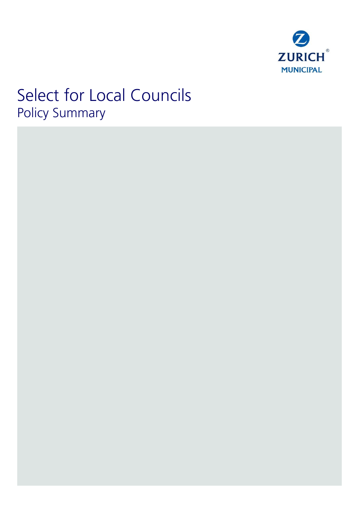

# Select for Local Councils Policy Summary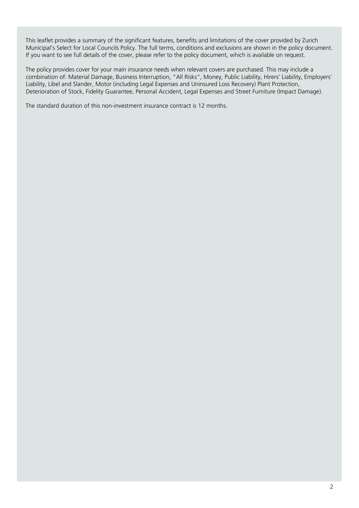This leaflet provides a summary of the significant features, benefits and limitations of the cover provided by Zurich Municipal's Select for Local Councils Policy. The full terms, conditions and exclusions are shown in the policy document. If you want to see full details of the cover, please refer to the policy document, which is available on request.

The policy provides cover for your main insurance needs when relevant covers are purchased. This may include a combination of: Material Damage, Business Interruption, "All Risks", Money, Public Liability, Hirers' Liability, Employers' Liability, Libel and Slander, Motor (including Legal Expenses and Uninsured Loss Recovery) Plant Protection, Deterioration of Stock, Fidelity Guarantee, Personal Accident, Legal Expenses and Street Furniture (Impact Damage).

The standard duration of this non-investment insurance contract is 12 months.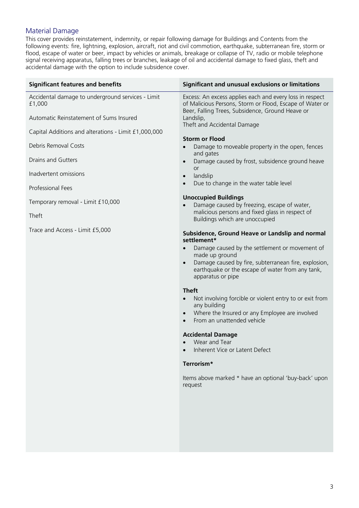### Material Damage

This cover provides reinstatement, indemnity, or repair following damage for Buildings and Contents from the following events: fire, lightning, explosion, aircraft, riot and civil commotion, earthquake, subterranean fire, storm or flood, escape of water or beer, impact by vehicles or animals, breakage or collapse of TV, radio or mobile telephone signal receiving apparatus, falling trees or branches, leakage of oil and accidental damage to fixed glass, theft and accidental damage with the option to include subsidence cover.

| Significant and unusual exclusions or limitations                                                                                                                                                                                                                                                                                                                                                                                                                                                                                                                                                                                         |
|-------------------------------------------------------------------------------------------------------------------------------------------------------------------------------------------------------------------------------------------------------------------------------------------------------------------------------------------------------------------------------------------------------------------------------------------------------------------------------------------------------------------------------------------------------------------------------------------------------------------------------------------|
| Excess: An excess applies each and every loss in respect<br>of Malicious Persons, Storm or Flood, Escape of Water or<br>Beer, Falling Trees, Subsidence, Ground Heave or<br>Landslip,                                                                                                                                                                                                                                                                                                                                                                                                                                                     |
| Theft and Accidental Damage                                                                                                                                                                                                                                                                                                                                                                                                                                                                                                                                                                                                               |
| <b>Storm or Flood</b>                                                                                                                                                                                                                                                                                                                                                                                                                                                                                                                                                                                                                     |
| Damage to moveable property in the open, fences<br>and gates                                                                                                                                                                                                                                                                                                                                                                                                                                                                                                                                                                              |
| Damage caused by frost, subsidence ground heave<br>$\bullet$<br><b>or</b>                                                                                                                                                                                                                                                                                                                                                                                                                                                                                                                                                                 |
| landslip<br>$\bullet$                                                                                                                                                                                                                                                                                                                                                                                                                                                                                                                                                                                                                     |
| Due to change in the water table level                                                                                                                                                                                                                                                                                                                                                                                                                                                                                                                                                                                                    |
| <b>Unoccupied Buildings</b><br>Damage caused by freezing, escape of water,                                                                                                                                                                                                                                                                                                                                                                                                                                                                                                                                                                |
| malicious persons and fixed glass in respect of<br>Buildings which are unoccupied                                                                                                                                                                                                                                                                                                                                                                                                                                                                                                                                                         |
| Subsidence, Ground Heave or Landslip and normal<br>settlement*<br>Damage caused by the settlement or movement of<br>made up ground<br>Damage caused by fire, subterranean fire, explosion,<br>$\bullet$<br>earthquake or the escape of water from any tank,<br>apparatus or pipe<br><b>Theft</b><br>Not involving forcible or violent entry to or exit from<br>any building<br>Where the Insured or any Employee are involved<br>$\bullet$<br>From an unattended vehicle<br><b>Accidental Damage</b><br>Wear and Tear<br>Inherent Vice or Latent Defect<br>Terrorism*<br>Items above marked * have an optional 'buy-back' upon<br>request |
|                                                                                                                                                                                                                                                                                                                                                                                                                                                                                                                                                                                                                                           |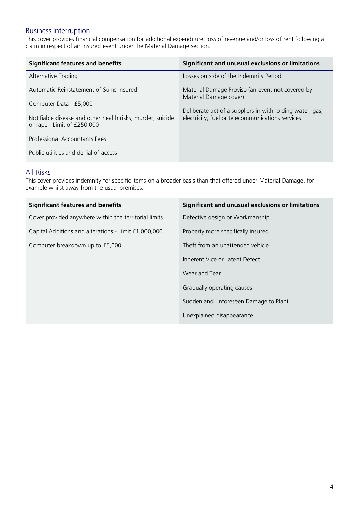# Business Interruption

This cover provides financial compensation for additional expenditure, loss of revenue and/or loss of rent following a claim in respect of an insured event under the Material Damage section.

| <b>Significant features and benefits</b>                                                  | Significant and unusual exclusions or limitations                                                            |
|-------------------------------------------------------------------------------------------|--------------------------------------------------------------------------------------------------------------|
| Alternative Trading                                                                       | Losses outside of the Indemnity Period                                                                       |
| Automatic Reinstatement of Sums Insured                                                   | Material Damage Proviso (an event not covered by<br>Material Damage cover)                                   |
| Computer Data - £5,000                                                                    | Deliberate act of a suppliers in withholding water, gas,<br>electricity, fuel or telecommunications services |
| Notifiable disease and other health risks, murder, suicide<br>or rape - Limit of £250,000 |                                                                                                              |
| Professional Accountants Fees                                                             |                                                                                                              |
| Public utilities and denial of access                                                     |                                                                                                              |

#### All Risks

This cover provides indemnity for specific items on a broader basis than that offered under Material Damage, for example whilst away from the usual premises.

| <b>Significant features and benefits</b>              | Significant and unusual exclusions or limitations |
|-------------------------------------------------------|---------------------------------------------------|
| Cover provided anywhere within the territorial limits | Defective design or Workmanship                   |
| Capital Additions and alterations - Limit £1,000,000  | Property more specifically insured                |
| Computer breakdown up to £5,000                       | Theft from an unattended vehicle                  |
|                                                       | Inherent Vice or Latent Defect                    |
|                                                       | Wear and Tear                                     |
|                                                       | Gradually operating causes                        |
|                                                       | Sudden and unforeseen Damage to Plant             |
|                                                       | Unexplained disappearance                         |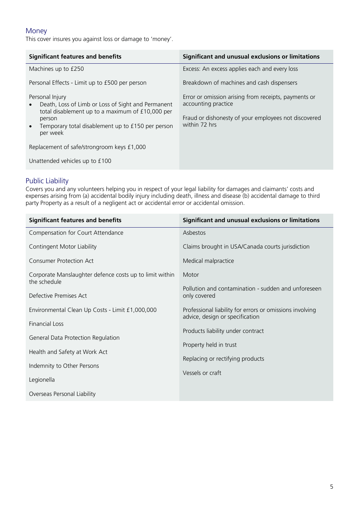### Money

This cover insures you against loss or damage to 'money'.

| <b>Significant features and benefits</b>                                                                                                                                                                          | Significant and unusual exclusions or limitations                                                                                                    |
|-------------------------------------------------------------------------------------------------------------------------------------------------------------------------------------------------------------------|------------------------------------------------------------------------------------------------------------------------------------------------------|
| Machines up to £250                                                                                                                                                                                               | Excess: An excess applies each and every loss                                                                                                        |
| Personal Effects - Limit up to £500 per person                                                                                                                                                                    | Breakdown of machines and cash dispensers                                                                                                            |
| Personal Injury<br>Death, Loss of Limb or Loss of Sight and Permanent<br>total disablement up to a maximum of £10,000 per<br>person<br>Temporary total disablement up to £150 per person<br>$\bullet$<br>per week | Error or omission arising from receipts, payments or<br>accounting practice<br>Fraud or dishonesty of your employees not discovered<br>within 72 hrs |
| Replacement of safe/strongroom keys £1,000                                                                                                                                                                        |                                                                                                                                                      |
| Unattended vehicles up to £100                                                                                                                                                                                    |                                                                                                                                                      |

# Public Liability

Covers you and any volunteers helping you in respect of your legal liability for damages and claimants' costs and expenses arising from (a) accidental bodily injury including death, illness and disease (b) accidental damage to third party Property as a result of a negligent act or accidental error or accidental omission.

| <b>Significant features and benefits</b>                                | Significant and unusual exclusions or limitations                                           |
|-------------------------------------------------------------------------|---------------------------------------------------------------------------------------------|
| Compensation for Court Attendance                                       | Asbestos                                                                                    |
| Contingent Motor Liability                                              | Claims brought in USA/Canada courts jurisdiction                                            |
| <b>Consumer Protection Act</b>                                          | Medical malpractice                                                                         |
| Corporate Manslaughter defence costs up to limit within<br>the schedule | Motor                                                                                       |
| Defective Premises Act                                                  | Pollution and contamination - sudden and unforeseen                                         |
|                                                                         | only covered                                                                                |
| Environmental Clean Up Costs - Limit £1,000,000                         | Professional liability for errors or omissions involving<br>advice, design or specification |
| <b>Financial Loss</b>                                                   |                                                                                             |
| General Data Protection Regulation                                      | Products liability under contract                                                           |
|                                                                         | Property held in trust                                                                      |
| Health and Safety at Work Act                                           | Replacing or rectifying products                                                            |
| Indemnity to Other Persons                                              |                                                                                             |
| Legionella                                                              | Vessels or craft                                                                            |
| Overseas Personal Liability                                             |                                                                                             |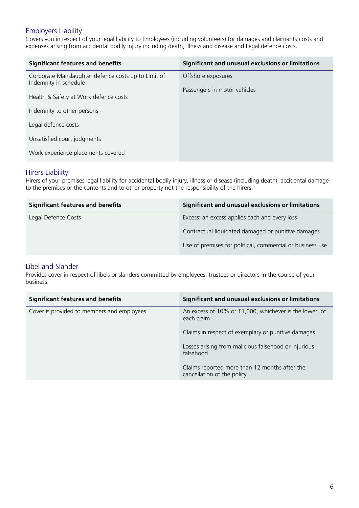# Employers Liability

Covers you in respect of your legal liability to Employees (including volunteers) for damages and claimants costs and expenses arising from accidental bodily injury including death, illness and disease and Legal defence costs.

| <b>Significant features and benefits</b>                                     | Significant and unusual exclusions or limitations |
|------------------------------------------------------------------------------|---------------------------------------------------|
| Corporate Manslaughter defence costs up to Limit of<br>Indemnity in schedule | Offshore exposures                                |
| Health & Safety at Work defence costs                                        | Passengers in motor vehicles                      |
| Indemnity to other persons                                                   |                                                   |
| Legal defence costs                                                          |                                                   |
| Unsatisfied court judgments                                                  |                                                   |
| Work experience placements covered                                           |                                                   |

#### Hirers Liability

Hirers of your premises legal liability for accidental bodily injury, illness or disease (including death), accidental damage to the premises or the contents and to other property not the responsibility of the hirers.

| <b>Significant features and benefits</b> | Significant and unusual exclusions or limitations         |
|------------------------------------------|-----------------------------------------------------------|
| Legal Defence Costs                      | Excess: an excess applies each and every loss             |
|                                          | Contractual liquidated damaged or punitive damages        |
|                                          | Use of premises for political, commercial or business use |

#### Libel and Slander

Provides cover in respect of libels or slanders committed by employees, trustees or directors in the course of your business.

| <b>Significant features and benefits</b>   | Significant and unusual exclusions or limitations                           |
|--------------------------------------------|-----------------------------------------------------------------------------|
| Cover is provided to members and employees | An excess of 10% or £1,000, whichever is the lower, of<br>each claim        |
|                                            | Claims in respect of exemplary or punitive damages                          |
|                                            | Losses arising from malicious falsehood or injurious<br>falsehood           |
|                                            | Claims reported more than 12 months after the<br>cancellation of the policy |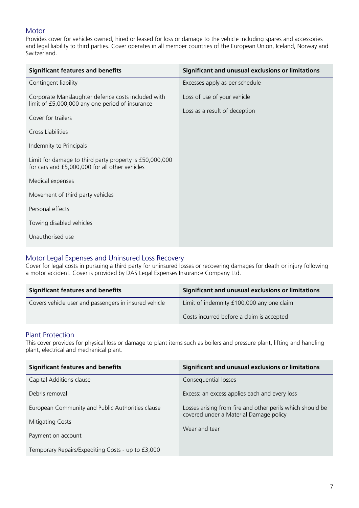# **Motor**

Provides cover for vehicles owned, hired or leased for loss or damage to the vehicle including spares and accessories and legal liability to third parties. Cover operates in all member countries of the European Union, Iceland, Norway and Switzerland.

| <b>Significant features and benefits</b>                                                                                    | Significant and unusual exclusions or limitations |
|-----------------------------------------------------------------------------------------------------------------------------|---------------------------------------------------|
| Contingent liability                                                                                                        | Excesses apply as per schedule                    |
| Corporate Manslaughter defence costs included with<br>limit of £5,000,000 any one period of insurance<br>Cover for trailers | Loss of use of your vehicle                       |
|                                                                                                                             | Loss as a result of deception                     |
| Cross Liabilities                                                                                                           |                                                   |
| Indemnity to Principals                                                                                                     |                                                   |
| Limit for damage to third party property is £50,000,000<br>for cars and £5,000,000 for all other vehicles                   |                                                   |
| Medical expenses                                                                                                            |                                                   |
| Movement of third party vehicles                                                                                            |                                                   |
| Personal effects                                                                                                            |                                                   |
| Towing disabled vehicles                                                                                                    |                                                   |
| Unauthorised use                                                                                                            |                                                   |
|                                                                                                                             |                                                   |

## Motor Legal Expenses and Uninsured Loss Recovery

Cover for legal costs in pursuing a third party for uninsured losses or recovering damages for death or injury following a motor accident. Cover is provided by DAS Legal Expenses Insurance Company Ltd.

| <b>Significant features and benefits</b>              | Significant and unusual exclusions or limitations |
|-------------------------------------------------------|---------------------------------------------------|
| Covers vehicle user and passengers in insured vehicle | Limit of indemnity £100,000 any one claim         |
|                                                       | Costs incurred before a claim is accepted         |

#### Plant Protection

This cover provides for physical loss or damage to plant items such as boilers and pressure plant, lifting and handling plant, electrical and mechanical plant.

| <b>Significant features and benefits</b>                             | Significant and unusual exclusions or limitations                                                   |
|----------------------------------------------------------------------|-----------------------------------------------------------------------------------------------------|
| Capital Additions clause                                             | Consequential losses                                                                                |
| Debris removal                                                       | Excess: an excess applies each and every loss                                                       |
| European Community and Public Authorities clause<br>Mitigating Costs | Losses arising from fire and other perils which should be<br>covered under a Material Damage policy |
|                                                                      | Wear and tear                                                                                       |
| Payment on account                                                   |                                                                                                     |
| Temporary Repairs/Expediting Costs - up to £3,000                    |                                                                                                     |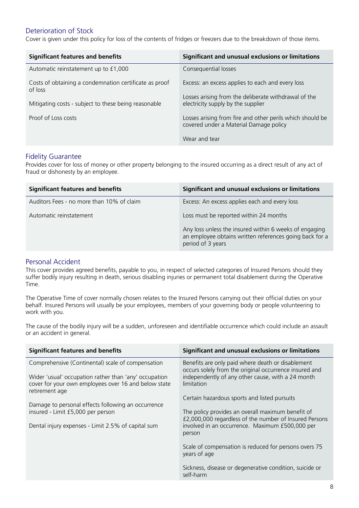### Deterioration of Stock

Cover is given under this policy for loss of the contents of fridges or freezers due to the breakdown of those items.

| <b>Significant features and benefits</b>                          | Significant and unusual exclusions or limitations                                                   |
|-------------------------------------------------------------------|-----------------------------------------------------------------------------------------------------|
| Automatic reinstatement up to £1,000                              | Consequential losses                                                                                |
| Costs of obtaining a condemnation certificate as proof<br>of loss | Excess: an excess applies to each and every loss                                                    |
| Mitigating costs - subject to these being reasonable              | Losses arising from the deliberate withdrawal of the<br>electricity supply by the supplier          |
| Proof of Loss costs                                               | Losses arising from fire and other perils which should be<br>covered under a Material Damage policy |
|                                                                   | Wear and tear                                                                                       |

#### Fidelity Guarantee

Provides cover for loss of money or other property belonging to the insured occurring as a direct result of any act of fraud or dishonesty by an employee.

| <b>Significant features and benefits</b>  | Significant and unusual exclusions or limitations                                                                                      |
|-------------------------------------------|----------------------------------------------------------------------------------------------------------------------------------------|
| Auditors Fees - no more than 10% of claim | Excess: An excess applies each and every loss                                                                                          |
| Automatic reinstatement                   | Loss must be reported within 24 months                                                                                                 |
|                                           | Any loss unless the insured within 6 weeks of engaging<br>an employee obtains written references going back for a<br>period of 3 years |

#### Personal Accident

This cover provides agreed benefits, payable to you, in respect of selected categories of Insured Persons should they suffer bodily injury resulting in death, serious disabling injuries or permanent total disablement during the Operative Time.

The Operative Time of cover normally chosen relates to the Insured Persons carrying out their official duties on your behalf. Insured Persons will usually be your employees, members of your governing body or people volunteering to work with you.

The cause of the bodily injury will be a sudden, unforeseen and identifiable occurrence which could include an assault or an accident in general.

| <b>Significant features and benefits</b>                                                                                                                                             | Significant and unusual exclusions or limitations                                                                                                                                                                        |
|--------------------------------------------------------------------------------------------------------------------------------------------------------------------------------------|--------------------------------------------------------------------------------------------------------------------------------------------------------------------------------------------------------------------------|
| Comprehensive (Continental) scale of compensation<br>Wider 'usual' occupation rather than 'any' occupation<br>cover for your own employees over 16 and below state<br>retirement age | Benefits are only paid where death or disablement<br>occurs solely from the original occurrence insured and<br>independently of any other cause, with a 24 month<br>limitation                                           |
| Damage to personal effects following an occurrence<br>insured - Limit £5,000 per person<br>Dental injury expenses - Limit 2.5% of capital sum                                        | Certain hazardous sports and listed pursuits<br>The policy provides an overall maximum benefit of<br>£2,000,000 regardless of the number of Insured Persons<br>involved in an occurrence. Maximum £500,000 per<br>person |
|                                                                                                                                                                                      | Scale of compensation is reduced for persons overs 75<br>years of age<br>Sickness, disease or degenerative condition, suicide or<br>self-harm                                                                            |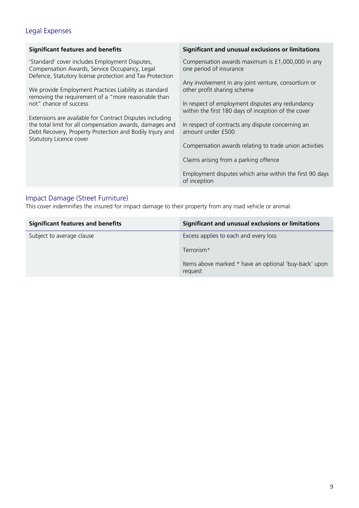# Legal Expenses

| <b>Significant features and benefits</b>                                                                                                                                                                                                                                                              | Significant and unusual exclusions or limitations                                                                                                                                                                     |
|-------------------------------------------------------------------------------------------------------------------------------------------------------------------------------------------------------------------------------------------------------------------------------------------------------|-----------------------------------------------------------------------------------------------------------------------------------------------------------------------------------------------------------------------|
| 'Standard' cover includes Employment Disputes,<br>Compensation Awards, Service Occupancy, Legal<br>Defence, Statutory license protection and Tax Protection<br>We provide Employment Practices Liability as standard<br>removing the requirement of a "more reasonable than<br>not" chance of success | Compensation awards maximum is £1,000,000 in any<br>one period of insurance<br>Any involvement in any joint venture, consortium or<br>other profit sharing scheme<br>In respect of employment disputes any redundancy |
| Extensions are available for Contract Disputes including<br>the total limit for all compensation awards, damages and<br>Debt Recovery, Property Protection and Bodily Injury and<br>Statutory Licence cover                                                                                           | within the first 180 days of inception of the cover<br>In respect of contracts any dispute concerning an<br>amount under £500<br>Compensation awards relating to trade union activities                               |
|                                                                                                                                                                                                                                                                                                       | Claims arising from a parking offence<br>Employment disputes which arise within the first 90 days<br>of inception                                                                                                     |
|                                                                                                                                                                                                                                                                                                       |                                                                                                                                                                                                                       |

## Impact Damage (Street Furniture)

This cover indemnifies the insured for impact damage to their property from any road vehicle or animal.

| <b>Significant features and benefits</b> | Significant and unusual exclusions or limitations                |
|------------------------------------------|------------------------------------------------------------------|
| Subject to average clause                | Excess applies to each and every loss                            |
|                                          | Terrorism*                                                       |
|                                          | Items above marked * have an optional 'buy-back' upon<br>request |